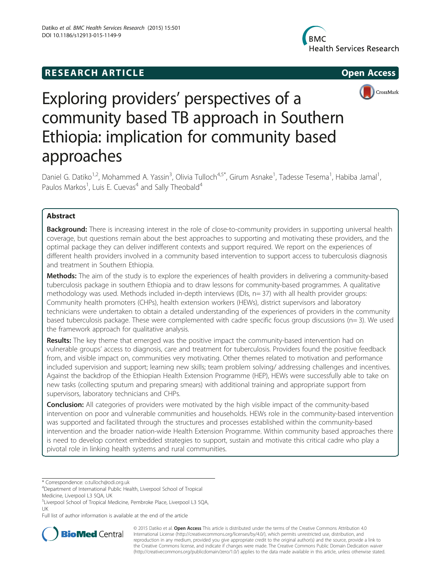# **RESEARCH ARTICLE Example 2014 12:30 The SEAR CHA RESEARCH ARTICLE**







# Exploring providers' perspectives of a community based TB approach in Southern Ethiopia: implication for community based approaches

Daniel G. Datiko<sup>1,2</sup>, Mohammed A. Yassin<sup>3</sup>, Olivia Tulloch<sup>4,5\*</sup>, Girum Asnake<sup>1</sup>, Tadesse Tesema<sup>1</sup>, Habiba Jamal<sup>1</sup> , Paulos Markos<sup>1</sup>, Luis E. Cuevas<sup>4</sup> and Sally Theobald<sup>4</sup>

# Abstract

Background: There is increasing interest in the role of close-to-community providers in supporting universal health coverage, but questions remain about the best approaches to supporting and motivating these providers, and the optimal package they can deliver indifferent contexts and support required. We report on the experiences of different health providers involved in a community based intervention to support access to tuberculosis diagnosis and treatment in Southern Ethiopia.

**Methods:** The aim of the study is to explore the experiences of health providers in delivering a community-based tuberculosis package in southern Ethiopia and to draw lessons for community-based programmes. A qualitative methodology was used. Methods included in-depth interviews (IDIs, n= 37) with all health provider groups: Community health promoters (CHPs), health extension workers (HEWs), district supervisors and laboratory technicians were undertaken to obtain a detailed understanding of the experiences of providers in the community based tuberculosis package. These were complemented with cadre specific focus group discussions (n= 3). We used the framework approach for qualitative analysis.

Results: The key theme that emerged was the positive impact the community-based intervention had on vulnerable groups' access to diagnosis, care and treatment for tuberculosis. Providers found the positive feedback from, and visible impact on, communities very motivating. Other themes related to motivation and performance included supervision and support; learning new skills; team problem solving/ addressing challenges and incentives. Against the backdrop of the Ethiopian Health Extension Programme (HEP), HEWs were successfully able to take on new tasks (collecting sputum and preparing smears) with additional training and appropriate support from supervisors, laboratory technicians and CHPs.

**Conclusion:** All categories of providers were motivated by the high visible impact of the community-based intervention on poor and vulnerable communities and households. HEWs role in the community-based intervention was supported and facilitated through the structures and processes established within the community-based intervention and the broader nation-wide Health Extension Programme. Within community based approaches there is need to develop context embedded strategies to support, sustain and motivate this critical cadre who play a pivotal role in linking health systems and rural communities.

Full list of author information is available at the end of the article



© 2015 Datiko et al. Open Access This article is distributed under the terms of the Creative Commons Attribution 4.0 International License [\(http://creativecommons.org/licenses/by/4.0/](http://creativecommons.org/licenses/by/4.0/)), which permits unrestricted use, distribution, and reproduction in any medium, provided you give appropriate credit to the original author(s) and the source, provide a link to the Creative Commons license, and indicate if changes were made. The Creative Commons Public Domain Dedication waiver [\(http://creativecommons.org/publicdomain/zero/1.0/](http://creativecommons.org/publicdomain/zero/1.0/)) applies to the data made available in this article, unless otherwise stated.

<sup>\*</sup> Correspondence: [o.tulloch@odi.org.uk](mailto:o.tulloch@odi.org.uk) <sup>4</sup>

<sup>&</sup>lt;sup>4</sup>Department of International Public Health, Liverpool School of Tropical Medicine, Liverpool L3 5QA, UK

<sup>5</sup> Liverpool School of Tropical Medicine, Pembroke Place, Liverpool L3 5QA, UK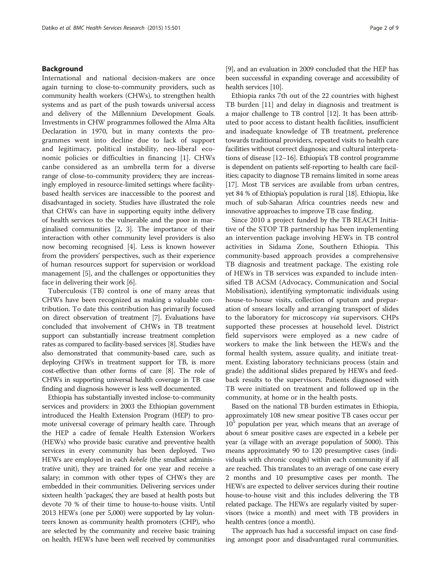#### Background

International and national decision-makers are once again turning to close-to-community providers, such as community health workers (CHWs), to strengthen health systems and as part of the push towards universal access and delivery of the Millennium Development Goals. Investments in CHW programmes followed the Alma Alta Declaration in 1970, but in many contexts the programmes went into decline due to lack of support and legitimacy, political instability, neo-liberal economic policies or difficulties in financing [[1\]](#page-8-0). CHWs canbe considered as an umbrella term for a diverse range of close-to-community providers; they are increasingly employed in resource-limited settings where facilitybased health services are inaccessible to the poorest and disadvantaged in society. Studies have illustrated the role that CHWs can have in supporting equity inthe delivery of health services to the vulnerable and the poor in marginalised communities [[2, 3](#page-8-0)]. The importance of their interaction with other community level providers is also now becoming recognised [\[4\]](#page-8-0). Less is known however from the providers' perspectives, such as their experience of human resources support for supervision or workload management [[5](#page-8-0)], and the challenges or opportunities they face in delivering their work [\[6](#page-8-0)].

Tuberculosis (TB) control is one of many areas that CHWs have been recognized as making a valuable contribution. To date this contribution has primarily focused on direct observation of treatment [[7](#page-8-0)]. Evaluations have concluded that involvement of CHWs in TB treatment support can substantially increase treatment completion rates as compared to facility-based services [[8](#page-8-0)]. Studies have also demonstrated that community-based care, such as deploying CHWs in treatment support for TB, is more cost-effective than other forms of care [[8](#page-8-0)]. The role of CHWs in supporting universal health coverage in TB case finding and diagnosis however is less well documented.

Ethiopia has substantially invested inclose-to-community services and providers: in 2003 the Ethiopian government introduced the Health Extension Program (HEP) to promote universal coverage of primary health care. Through the HEP a cadre of female Health Extension Workers (HEWs) who provide basic curative and preventive health services in every community has been deployed. Two HEWs are employed in each kebele (the smallest administrative unit), they are trained for one year and receive a salary; in common with other types of CHWs they are embedded in their communities. Delivering services under sixteen health 'packages', they are based at health posts but devote 70 % of their time to house-to-house visits. Until 2013 HEWs (one per 5,000) were supported by lay volunteers known as community health promoters (CHP), who are selected by the community and receive basic training on health. HEWs have been well received by communities

[[9](#page-8-0)], and an evaluation in 2009 concluded that the HEP has been successful in expanding coverage and accessibility of health services [\[10](#page-8-0)].

Ethiopia ranks 7th out of the 22 countries with highest TB burden [[11\]](#page-8-0) and delay in diagnosis and treatment is a major challenge to TB control [[12\]](#page-8-0). It has been attributed to poor access to distant health facilities, insufficient and inadequate knowledge of TB treatment, preference towards traditional providers, repeated visits to health care facilities without correct diagnosis; and cultural interpretations of disease [[12](#page-8-0)–[16\]](#page-8-0). Ethiopia's TB control programme is dependent on patients self-reporting to health care facilities; capacity to diagnose TB remains limited in some areas [[17](#page-8-0)]. Most TB services are available from urban centres, yet 84 % of Ethiopia's population is rural [[18](#page-8-0)]. Ethiopia, like much of sub-Saharan Africa countries needs new and innovative approaches to improve TB case finding.

Since 2010 a project funded by the TB REACH Initiative of the STOP TB partnership has been implementing an intervention package involving HEWs in TB control activities in Sidama Zone, Southern Ethiopia. This community-based approach provides a comprehensive TB diagnosis and treatment package. The existing role of HEWs in TB services was expanded to include intensified TB ACSM (Advocacy, Communication and Social Mobilisation), identifying symptomatic individuals using house-to-house visits, collection of sputum and preparation of smears locally and arranging transport of slides to the laboratory for microscopy via supervisors. CHPs supported these processes at household level. District field supervisors were employed as a new cadre of workers to make the link between the HEWs and the formal health system, assure quality, and initiate treatment. Existing laboratory technicians process (stain and grade) the additional slides prepared by HEWs and feedback results to the supervisors. Patients diagnosed with TB were initiated on treatment and followed up in the community, at home or in the health posts.

Based on the national TB burden estimates in Ethiopia, approximately 108 new smear positive TB cases occur per  $10<sup>5</sup>$  population per year, which means that an average of about 6 smear positive cases are expected in a kebele per year (a village with an average population of 5000). This means approximately 90 to 120 presumptive cases (individuals with chronic cough) within each community if all are reached. This translates to an average of one case every 2 months and 10 presumptive cases per month. The HEWs are expected to deliver services during their routine house-to-house visit and this includes delivering the TB related package. The HEWs are regularly visited by supervisors (twice a month) and meet with TB providers in health centres (once a month).

The approach has had a successful impact on case finding amongst poor and disadvantaged rural communities.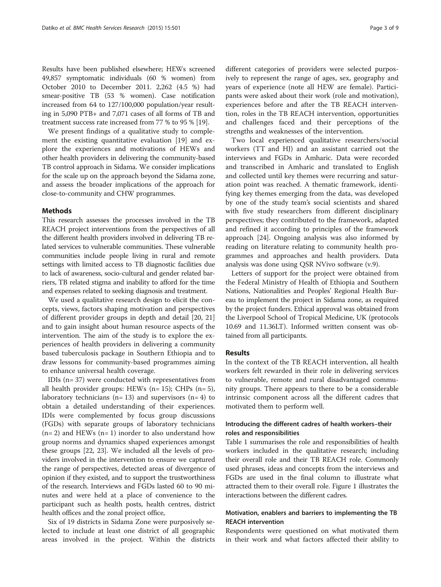Results have been published elsewhere; HEWs screened 49,857 symptomatic individuals (60 % women) from October 2010 to December 2011. 2,262 (4.5 %) had smear-positive TB (53 % women). Case notification increased from 64 to 127/100,000 population/year resulting in 5,090 PTB+ and 7,071 cases of all forms of TB and treatment success rate increased from 77 % to 95 % [\[19\]](#page-8-0).

We present findings of a qualitative study to complement the existing quantitative evaluation [[19\]](#page-8-0) and explore the experiences and motivations of HEWs and other health providers in delivering the community-based TB control approach in Sidama. We consider implications for the scale up on the approach beyond the Sidama zone, and assess the broader implications of the approach for close-to-community and CHW programmes.

#### Methods

This research assesses the processes involved in the TB REACH project interventions from the perspectives of all the different health providers involved in delivering TB related services to vulnerable communities. These vulnerable communities include people living in rural and remote settings with limited access to TB diagnostic facilities due to lack of awareness, socio-cultural and gender related barriers, TB related stigma and inability to afford for the time and expenses related to seeking diagnosis and treatment.

We used a qualitative research design to elicit the concepts, views, factors shaping motivation and perspectives of different provider groups in depth and detail [[20, 21](#page-8-0)] and to gain insight about human resource aspects of the intervention. The aim of the study is to explore the experiences of health providers in delivering a community based tuberculosis package in Southern Ethiopia and to draw lessons for community-based programmes aiming to enhance universal health coverage.

IDIs (n= 37) were conducted with representatives from all health provider groups: HEWs  $(n=15)$ ; CHPs  $(n=5)$ , laboratory technicians ( $n= 13$ ) and supervisors ( $n= 4$ ) to obtain a detailed understanding of their experiences. IDIs were complemented by focus group discussions (FGDs) with separate groups of laboratory technicians  $(n= 2)$  and HEWs  $(n= 1)$  inorder to also understand how group norms and dynamics shaped experiences amongst these groups [\[22](#page-8-0), [23\]](#page-8-0). We included all the levels of providers involved in the intervention to ensure we captured the range of perspectives, detected areas of divergence of opinion if they existed, and to support the trustworthiness of the research. Interviews and FGDs lasted 60 to 90 minutes and were held at a place of convenience to the participant such as health posts, health centres, district health offices and the zonal project office,

Six of 19 districts in Sidama Zone were purposively selected to include at least one district of all geographic areas involved in the project. Within the districts

different categories of providers were selected purposively to represent the range of ages, sex, geography and years of experience (note all HEW are female). Participants were asked about their work (role and motivation), experiences before and after the TB REACH intervention, roles in the TB REACH intervention, opportunities and challenges faced and their perceptions of the strengths and weaknesses of the intervention.

Two local experienced qualitative researchers/social workers (TT and HJ) and an assistant carried out the interviews and FGDs in Amharic. Data were recorded and transcribed in Amharic and translated to English and collected until key themes were recurring and saturation point was reached. A thematic framework, identifying key themes emerging from the data, was developed by one of the study team's social scientists and shared with five study researchers from different disciplinary perspectives; they contributed to the framework, adapted and refined it according to principles of the framework approach [\[24](#page-8-0)]. Ongoing analysis was also informed by reading on literature relating to community health programmes and approaches and health providers. Data analysis was done using QSR NVivo software (v.9).

Letters of support for the project were obtained from the Federal Ministry of Health of Ethiopia and Southern Nations, Nationalities and Peoples' Regional Health Bureau to implement the project in Sidama zone, as required by the project funders. Ethical approval was obtained from the Liverpool School of Tropical Medicine, UK (protocols 10.69 and 11.36LT). Informed written consent was obtained from all participants.

## Results

In the context of the TB REACH intervention, all health workers felt rewarded in their role in delivering services to vulnerable, remote and rural disadvantaged community groups. There appears to there to be a considerable intrinsic component across all the different cadres that motivated them to perform well.

# Introducing the different cadres of health workers–their roles and responsibilities

Table [1](#page-3-0) summarises the role and responsibilities of health workers included in the qualitative research; including their overall role and their TB REACH role. Commonly used phrases, ideas and concepts from the interviews and FGDs are used in the final column to illustrate what attracted them to their overall role. Figure [1](#page-3-0) illustrates the interactions between the different cadres.

# Motivation, enablers and barriers to implementing the TB REACH intervention

Respondents were questioned on what motivated them in their work and what factors affected their ability to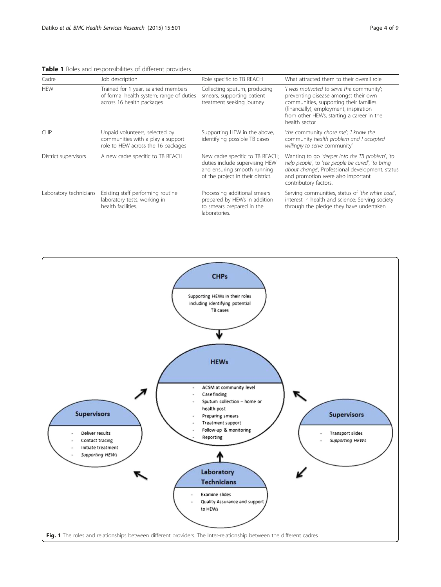<span id="page-3-0"></span>Table 1 Roles and responsibilities of different providers

| Cadre                  | Job description                                                                                               | Role specific to TB REACH                                                                                                             | What attracted them to their overall role                                                                                                                                                                                           |
|------------------------|---------------------------------------------------------------------------------------------------------------|---------------------------------------------------------------------------------------------------------------------------------------|-------------------------------------------------------------------------------------------------------------------------------------------------------------------------------------------------------------------------------------|
| <b>HFW</b>             | Trained for 1 year, salaried members<br>of formal health system; range of duties<br>across 16 health packages | Collecting sputum, producing<br>smears, supporting patient<br>treatment seeking journey                                               | 'I was motivated to serve the community';<br>preventing disease amongst their own<br>communities, supporting their families<br>(financially), employment, inspiration<br>from other HEWs, starting a career in the<br>health sector |
| <b>CHP</b>             | Unpaid volunteers, selected by<br>communities with a play a support<br>role to HEW across the 16 packages     | Supporting HEW in the above,<br>identifying possible TB cases                                                                         | 'the community chose me'; 'I know the<br>community health problem and I accepted<br>willingly to serve community'                                                                                                                   |
| District supervisors   | A new cadre specific to TB REACH                                                                              | New cadre specific to TB REACH;<br>duties include supervising HEW<br>and ensuring smooth running<br>of the project in their district. | Wanting to go 'deeper into the TB problem', 'to<br>help people', to 'see people be cured', 'to bring<br>about change', Professional development, status<br>and promotion were also important<br>contributory factors.               |
| Laboratory technicians | Existing staff performing routine<br>laboratory tests, working in<br>health facilities.                       | Processing additional smears<br>prepared by HEWs in addition<br>to smears prepared in the<br>laboratories.                            | Serving communities, status of 'the white coat',<br>interest in health and science; Serving society<br>through the pledge they have undertaken                                                                                      |

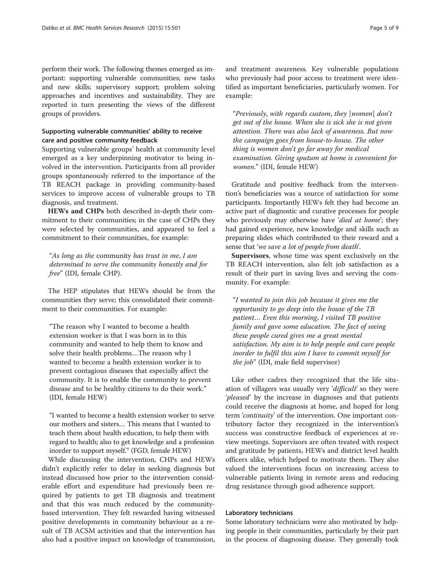perform their work. The following themes emerged as important: supporting vulnerable communities; new tasks and new skills; supervisory support; problem solving approaches and incentives and sustainability. They are reported in turn presenting the views of the different groups of providers.

## Supporting vulnerable communities' ability to receive care and positive community feedback

Supporting vulnerable groups' health at community level emerged as a key underpinning motivator to being involved in the intervention. Participants from all provider groups spontaneously referred to the importance of the TB REACH package in providing community-based services to improve access of vulnerable groups to TB diagnosis, and treatment.

HEWs and CHPs both described in-depth their commitment to their communities; in the case of CHPs they were selected by communities, and appeared to feel a commitment to their communities, for example:

"As long as the community has trust in me, I am determined to serve the community honestly and for free" (IDI, female CHP).

The HEP stipulates that HEWs should be from the communities they serve; this consolidated their commitment to their communities. For example:

"The reason why I wanted to become a health extension worker is that I was born in to this community and wanted to help them to know and solve their health problems…The reason why I wanted to become a health extension worker is to prevent contagious diseases that especially affect the community. It is to enable the community to prevent disease and to be healthy citizens to do their work." (IDI, female HEW)

"I wanted to become a health extension worker to serve our mothers and sisters… This means that I wanted to teach them about health education, to help them with regard to health; also to get knowledge and a profession inorder to support myself." (FGD, female HEW)

While discussing the intervention, CHPs and HEWs didn't explicitly refer to delay in seeking diagnosis but instead discussed how prior to the intervention considerable effort and expenditure had previously been required by patients to get TB diagnosis and treatment and that this was much reduced by the communitybased intervention. They felt rewarded having witnessed positive developments in community behaviour as a result of TB ACSM activities and that the intervention has also had a positive impact on knowledge of transmission, and treatment awareness. Key vulnerable populations who previously had poor access to treatment were identified as important beneficiaries, particularly women. For example:

"Previously, with regards custom, they [women] don't get out of the house. When she is sick she is not given attention. There was also lack of awareness. But now the campaign goes from house-to-house. The other thing is women don't go far away for medical examination. Giving sputum at home is convenient for women." (IDI, female HEW)

Gratitude and positive feedback from the intervention's beneficiaries was a source of satisfaction for some participants. Importantly HEWs felt they had become an active part of diagnostic and curative processes for people who previously may otherwise have 'died at home'; they had gained experience, new knowledge and skills such as preparing slides which contributed to their reward and a sense that 'we save a lot of people from death'.

Supervisors, whose time was spent exclusively on the TB REACH intervention, also felt job satisfaction as a result of their part in saving lives and serving the community. For example:

"I wanted to join this job because it gives me the opportunity to go deep into the house of the TB patient… Even this morning, I visited TB positive family and gave some education. The fact of seeing these people cured gives me a great mental satisfaction. My aim is to help people and cure people inorder to fulfil this aim I have to commit myself for the job" (IDI, male field supervisor)

Like other cadres they recognized that the life situation of villagers was usually very *'difficult'* so they were 'pleased' by the increase in diagnoses and that patients could receive the diagnosis at home, and hoped for long term 'continuity' of the intervention. One important contributory factor they recognized in the intervention's success was constructive feedback of experiences at review meetings. Supervisors are often treated with respect and gratitude by patients, HEWs and district level health officers alike, which helped to motivate them. They also valued the interventions focus on increasing access to vulnerable patients living in remote areas and reducing drug resistance through good adherence support.

#### Laboratory technicians

Some laboratory technicians were also motivated by helping people in their communities, particularly by their part in the process of diagnosing disease. They generally took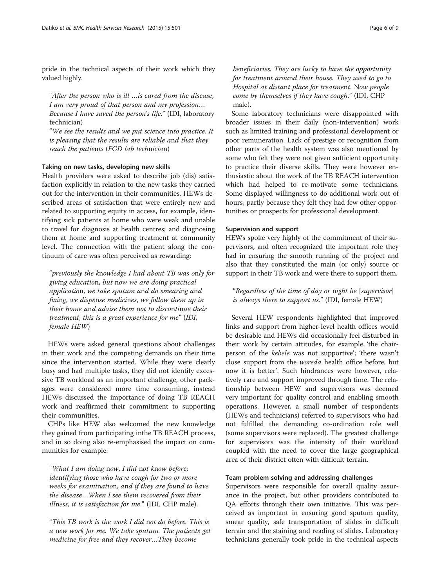pride in the technical aspects of their work which they valued highly.

"After the person who is ill …is cured from the disease, I am very proud of that person and my profession… Because I have saved the person's life." (IDI, laboratory technician)

"We see the results and we put science into practice. It is pleasing that the results are reliable and that they reach the patients (FGD lab technician)

#### Taking on new tasks, developing new skills

Health providers were asked to describe job (dis) satisfaction explicitly in relation to the new tasks they carried out for the intervention in their communities. HEWs described areas of satisfaction that were entirely new and related to supporting equity in access, for example, identifying sick patients at home who were weak and unable to travel for diagnosis at health centres; and diagnosing them at home and supporting treatment at community level. The connection with the patient along the continuum of care was often perceived as rewarding:

"previously the knowledge I had about TB was only for giving education, but now we are doing practical application, we take sputum and do smearing and fixing, we dispense medicines, we follow them up in their home and advise them not to discontinue their treatment, this is a great experience for me" (IDI, female HEW)

HEWs were asked general questions about challenges in their work and the competing demands on their time since the intervention started. While they were clearly busy and had multiple tasks, they did not identify excessive TB workload as an important challenge, other packages were considered more time consuming, instead HEWs discussed the importance of doing TB REACH work and reaffirmed their commitment to supporting their communities.

CHPs like HEW also welcomed the new knowledge they gained from participating inthe TB REACH process, and in so doing also re-emphasised the impact on communities for example:

"What I am doing now, I did not know before; identifying those who have cough for two or more weeks for examination, and if they are found to have the disease…When I see them recovered from their illness, it is satisfaction for me." (IDI, CHP male).

"This TB work is the work I did not do before. This is a new work for me. We take sputum. The patients get medicine for free and they recover…They become

beneficiaries. They are lucky to have the opportunity for treatment around their house. They used to go to Hospital at distant place for treatment. Now people come by themselves if they have cough." (IDI, CHP male).

Some laboratory technicians were disappointed with broader issues in their daily (non-intervention) work such as limited training and professional development or poor remuneration. Lack of prestige or recognition from other parts of the health system was also mentioned by some who felt they were not given sufficient opportunity to practice their diverse skills. They were however enthusiastic about the work of the TB REACH intervention which had helped to re-motivate some technicians. Some displayed willingness to do additional work out of hours, partly because they felt they had few other opportunities or prospects for professional development.

#### Supervision and support

HEWs spoke very highly of the commitment of their supervisors, and often recognized the important role they had in ensuring the smooth running of the project and also that they constituted the main (or only) source or support in their TB work and were there to support them.

"Regardless of the time of day or night he [supervisor] is always there to support us." (IDI, female HEW)

Several HEW respondents highlighted that improved links and support from higher-level health offices would be desirable and HEWs did occasionally feel disturbed in their work by certain attitudes, for example, 'the chairperson of the kebele was not supportive'; 'there wasn't close support from the woreda health office before, but now it is better'. Such hindrances were however, relatively rare and support improved through time. The relationship between HEW and supervisors was deemed very important for quality control and enabling smooth operations. However, a small number of respondents (HEWs and technicians) referred to supervisors who had not fulfilled the demanding co-ordination role well (some supervisors were replaced). The greatest challenge for supervisors was the intensity of their workload coupled with the need to cover the large geographical area of their district often with difficult terrain.

## Team problem solving and addressing challenges

Supervisors were responsible for overall quality assurance in the project, but other providers contributed to QA efforts through their own initiative. This was perceived as important in ensuring good sputum quality, smear quality, safe transportation of slides in difficult terrain and the staining and reading of slides. Laboratory technicians generally took pride in the technical aspects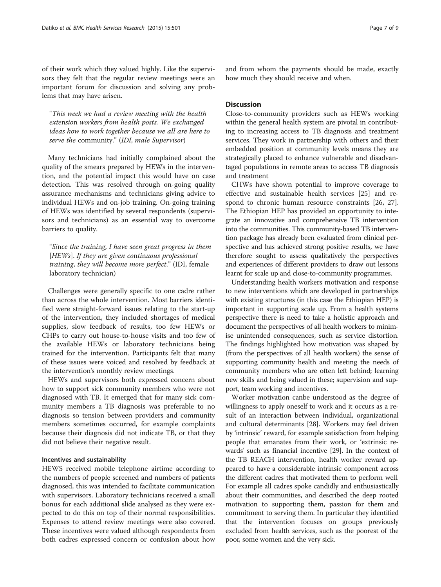of their work which they valued highly. Like the supervisors they felt that the regular review meetings were an important forum for discussion and solving any problems that may have arisen.

"This week we had a review meeting with the health extension workers from health posts. We exchanged ideas how to work together because we all are here to serve the community." (IDI, male Supervisor)

Many technicians had initially complained about the quality of the smears prepared by HEWs in the intervention, and the potential impact this would have on case detection. This was resolved through on-going quality assurance mechanisms and technicians giving advice to individual HEWs and on-job training. On-going training of HEWs was identified by several respondents (supervisors and technicians) as an essential way to overcome barriers to quality.

"Since the training, I have seen great progress in them [HEWs]. If they are given continuous professional training, they will become more perfect." (IDI, female laboratory technician)

Challenges were generally specific to one cadre rather than across the whole intervention. Most barriers identified were straight-forward issues relating to the start-up of the intervention, they included shortages of medical supplies, slow feedback of results, too few HEWs or CHPs to carry out house-to-house visits and too few of the available HEWs or laboratory technicians being trained for the intervention. Participants felt that many of these issues were voiced and resolved by feedback at the intervention's monthly review meetings.

HEWs and supervisors both expressed concern about how to support sick community members who were not diagnosed with TB. It emerged that for many sick community members a TB diagnosis was preferable to no diagnosis so tension between providers and community members sometimes occurred, for example complaints because their diagnosis did not indicate TB, or that they did not believe their negative result.

#### Incentives and sustainability

HEWS received mobile telephone airtime according to the numbers of people screened and numbers of patients diagnosed, this was intended to facilitate communication with supervisors. Laboratory technicians received a small bonus for each additional slide analysed as they were expected to do this on top of their normal responsibilities. Expenses to attend review meetings were also covered. These incentives were valued although respondents from both cadres expressed concern or confusion about how

and from whom the payments should be made, exactly how much they should receive and when.

# Discussion

Close-to-community providers such as HEWs working within the general health system are pivotal in contributing to increasing access to TB diagnosis and treatment services. They work in partnership with others and their embedded position at community levels means they are strategically placed to enhance vulnerable and disadvantaged populations in remote areas to access TB diagnosis and treatment

CHWs have shown potential to improve coverage to effective and sustainable health services [\[25](#page-8-0)] and re-spond to chronic human resource constraints [[26, 27](#page-8-0)]. The Ethiopian HEP has provided an opportunity to integrate an innovative and comprehensive TB intervention into the communities. This community-based TB intervention package has already been evaluated from clinical perspective and has achieved strong positive results, we have therefore sought to assess qualitatively the perspectives and experiences of different providers to draw out lessons learnt for scale up and close-to-community programmes.

Understanding health workers motivation and response to new interventions which are developed in partnerships with existing structures (in this case the Ethiopian HEP) is important in supporting scale up. From a health systems perspective there is need to take a holistic approach and document the perspectives of all health workers to minimise unintended consequences, such as service distortion. The findings highlighted how motivation was shaped by (from the perspectives of all health workers) the sense of supporting community health and meeting the needs of community members who are often left behind; learning new skills and being valued in these; supervision and support, team working and incentives.

Worker motivation canbe understood as the degree of willingness to apply oneself to work and it occurs as a result of an interaction between individual, organizational and cultural determinants [[28](#page-8-0)]. Workers may feel driven by 'intrinsic' reward, for example satisfaction from helping people that emanates from their work, or 'extrinsic rewards' such as financial incentive [[29](#page-8-0)]. In the context of the TB REACH intervention, health worker reward appeared to have a considerable intrinsic component across the different cadres that motivated them to perform well. For example all cadres spoke candidly and enthusiastically about their communities, and described the deep rooted motivation to supporting them, passion for them and commitment to serving them. In particular they identified that the intervention focuses on groups previously excluded from health services, such as the poorest of the poor, some women and the very sick.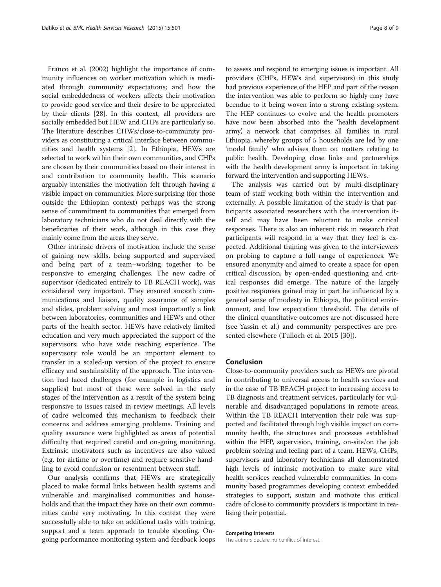Franco et al. (2002) highlight the importance of community influences on worker motivation which is mediated through community expectations; and how the social embeddedness of workers affects their motivation to provide good service and their desire to be appreciated by their clients [[28](#page-8-0)]. In this context, all providers are socially embedded but HEW and CHPs are particularly so. The literature describes CHWs/close-to-community providers as constituting a critical interface between communities and health systems [[2](#page-8-0)]. In Ethiopia, HEWs are selected to work within their own communities, and CHPs are chosen by their communities based on their interest in and contribution to community health. This scenario arguably intensifies the motivation felt through having a visible impact on communities. More surprising (for those outside the Ethiopian context) perhaps was the strong sense of commitment to communities that emerged from laboratory technicians who do not deal directly with the beneficiaries of their work, although in this case they mainly come from the areas they serve.

Other intrinsic drivers of motivation include the sense of gaining new skills, being supported and supervised and being part of a team–working together to be responsive to emerging challenges. The new cadre of supervisor (dedicated entirely to TB REACH work), was considered very important. They ensured smooth communications and liaison, quality assurance of samples and slides, problem solving and most importantly a link between laboratories, communities and HEWs and other parts of the health sector. HEWs have relatively limited education and very much appreciated the support of the supervisors; who have wide reaching experience. The supervisory role would be an important element to transfer in a scaled-up version of the project to ensure efficacy and sustainability of the approach. The intervention had faced challenges (for example in logistics and supplies) but most of these were solved in the early stages of the intervention as a result of the system being responsive to issues raised in review meetings. All levels of cadre welcomed this mechanism to feedback their concerns and address emerging problems. Training and quality assurance were highlighted as areas of potential difficulty that required careful and on-going monitoring. Extrinsic motivators such as incentives are also valued (e.g. for airtime or overtime) and require sensitive handling to avoid confusion or resentment between staff.

Our analysis confirms that HEWs are strategically placed to make formal links between health systems and vulnerable and marginalised communities and households and that the impact they have on their own communities canbe very motivating. In this context they were successfully able to take on additional tasks with training, support and a team approach to trouble shooting. Ongoing performance monitoring system and feedback loops

to assess and respond to emerging issues is important. All providers (CHPs, HEWs and supervisors) in this study had previous experience of the HEP and part of the reason the intervention was able to perform so highly may have beendue to it being woven into a strong existing system. The HEP continues to evolve and the health promoters have now been absorbed into the 'health development army', a network that comprises all families in rural Ethiopia, whereby groups of 5 households are led by one 'model family' who advises them on matters relating to public health. Developing close links and partnerships with the health development army is important in taking forward the intervention and supporting HEWs.

The analysis was carried out by multi-disciplinary team of staff working both within the intervention and externally. A possible limitation of the study is that participants associated researchers with the intervention itself and may have been reluctant to make critical responses. There is also an inherent risk in research that participants will respond in a way that they feel is expected. Additional training was given to the interviewers on probing to capture a full range of experiences. We ensured anonymity and aimed to create a space for open critical discussion, by open-ended questioning and critical responses did emerge. The nature of the largely positive responses gained may in part be influenced by a general sense of modesty in Ethiopia, the political environment, and low expectation threshold. The details of the clinical quantitative outcomes are not discussed here (see Yassin et al.) and community perspectives are presented elsewhere (Tulloch et al. 2015 [\[30\]](#page-8-0)).

#### Conclusion

Close-to-community providers such as HEWs are pivotal in contributing to universal access to health services and in the case of TB REACH project to increasing access to TB diagnosis and treatment services, particularly for vulnerable and disadvantaged populations in remote areas. Within the TB REACH intervention their role was supported and facilitated through high visible impact on community health, the structures and processes established within the HEP, supervision, training, on-site/on the job problem solving and feeling part of a team. HEWs, CHPs, supervisors and laboratory technicians all demonstrated high levels of intrinsic motivation to make sure vital health services reached vulnerable communities. In community based programmes developing context embedded strategies to support, sustain and motivate this critical cadre of close to community providers is important in realising their potential.

#### Competing interests

The authors declare no conflict of interest.